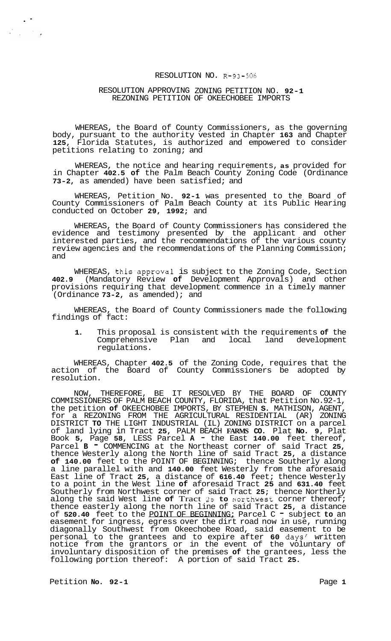## RESOLUTION NO. **R-93-506**

## RESOLUTION APPROVING ZONING PETITION NO. **92-1**  REZONING PETITION OF OKEECHOBEE IMPORTS

WHEREAS, the Board of County Commissioners, as the governing body, pursuant to the authority vested in Chapter **163** and Chapter **125,** Florida Statutes, is authorized and empowered to consider petitions relating to zoning; and

WHEREAS, the notice and hearing requirements, **as** provided for in Chapter **402.5 of** the Palm Beach County Zoning Code (Ordinance **73-2,** as amended) have been satisfied; and

WHEREAS, Petition No. **92-1** was presented to the Board of County Commissioners of Palm Beach County at its Public Hearing conducted on October **29, 1992;** and

WHEREAS, the Board of County Commissioners has considered the evidence and testimony presented by the applicant and other interested parties, and the recommendations of the various county review agencies and the recommendations of the Planning Commission; and

WHEREAS, this.approva1 is subject to the Zoning Code, Section **402.9** (Mandatory Review **of** Development Approvals) and other provisions requiring that development commence in a timely manner (Ordinance **73-2,** as amended); and

WHEREAS, the Board of County Commissioners made the following findings of fact:

**1.** This proposal is consistent with the requirements **of** the Comprehensive Plan and local land development regulations.

WHEREAS, Chapter **402.5** of the Zoning Code, requires that the action of the Board of County Commissioners be adopted by resolution.

NOW, THEREFORE, BE IT RESOLVED BY THE BOARD OF COUNTY COMMISSIONERS OF PALM BEACH COUNTY, FLORIDA, that Petition No.92-1, the petition **of** OKEECHOBEE IMPORTS, BY STEPHEN **S.** MATHISON, AGENT, for a REZONING FROM THE AGRICULTURAL RESIDENTIAL (AR) ZONING of land lying in Tract **25,** PALM BEACH **FARMS CO.** Plat **No. 9,** Plat Book **5,** Page **58,** LESS Parcel **A** - the East **140.00** feet thereof, Parcel **B**  $\overline{\phantom{a}}$  COMMENCING at the Northeast corner of said Tract 25, thence Westerly along the North line of said Tract **25,** a distance **of 140.00** feet to the POINT OF BEGINNING; thence Southerly along a line parallel with and **140.00** feet Westerly from the aforesaid East line of Tract **25,** a distance of **616.40** feet; thence Westerly to a point in the West line **of** aforesaid Tract **25** and **631.40** feet Southerly from Northwest corner of said Tract **25;** thence Northerly along the said West line **of** Tract **23 to** norzhwesc corner thereof; thence easterly along the north line of said Tract **25,** a distance of **520.40** feet to the POINT OF BEGINNING; Parcel C - subject **to** an easement for ingress, egress over the dirt road now in use, running diagonally Southwest from Okeechobee Road, said easement to be personal to the grantees and to expire after **60** days' written notice from the grantors or in the event of the voluntary of involuntary disposition of the premises **of** the grantees, less the following portion thereof: A portion of said Tract **25.**  DISTRICT **TO** THE LIGHT INDUSTRIAL (IL) ZONING DISTRICT on a parcel

Petition **No.** 92-1 Petition **Page 1** 

. -